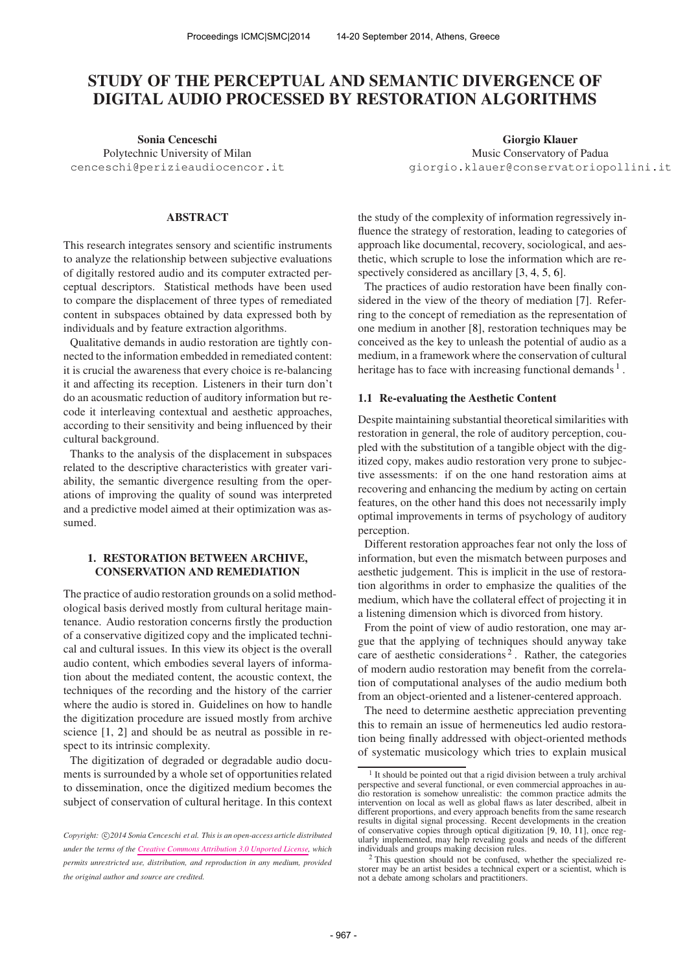# STUDY OF THE PERCEPTUAL AND SEMANTIC DIVERGENCE OF DIGITAL AUDIO PROCESSED BY RESTORATION ALGORITHMS

Sonia Cenceschi Polytechnic University of Milan [cenceschi@perizieaudiocencor.it](mailto:cenceschi@perizieaudiocencor.it)

### ABSTRACT

This research integrates sensory and scientific instruments to analyze the relationship between subjective evaluations of digitally restored audio and its computer extracted perceptual descriptors. Statistical methods have been used to compare the displacement of three types of remediated content in subspaces obtained by data expressed both by individuals and by feature extraction algorithms.

Qualitative demands in audio restoration are tightly connected to the information embedded in remediated content: it is crucial the awareness that every choice is re-balancing it and affecting its reception. Listeners in their turn don't do an acousmatic reduction of auditory information but recode it interleaving contextual and aesthetic approaches, according to their sensitivity and being influenced by their cultural background.

Thanks to the analysis of the displacement in subspaces related to the descriptive characteristics with greater variability, the semantic divergence resulting from the operations of improving the quality of sound was interpreted and a predictive model aimed at their optimization was assumed.

# 1. RESTORATION BETWEEN ARCHIVE, CONSERVATION AND REMEDIATION

The practice of audio restoration grounds on a solid methodological basis derived mostly from cultural heritage maintenance. Audio restoration concerns firstly the production of a conservative digitized copy and the implicated technical and cultural issues. In this view its object is the overall audio content, which embodies several layers of information about the mediated content, the acoustic context, the techniques of the recording and the history of the carrier where the audio is stored in. Guidelines on how to handle the digitization procedure are issued mostly from archive science [1, 2] and should be as neutral as possible in respect to its intrinsic complexity.

The digitization of degraded or degradable audio documents is surrounded by a whole set of opportunities related to dissemination, once the digitized medium becomes the subject of conservation of cultural heritage. In this context

Giorgio Klauer Music Conservatory of Padua [giorgio.klauer@conservatoriopollini.it](mailto:giorgio.klauer@conservatoriopollini.it)

the study of the complexity of information regressively influence the strategy of restoration, leading to categories of approach like documental, recovery, sociological, and aesthetic, which scruple to lose the information which are respectively considered as ancillary [3, 4, 5, 6].

The practices of audio restoration have been finally considered in the view of the theory of mediation [7]. Referring to the concept of remediation as the representation of one medium in another [8], restoration techniques may be conceived as the key to unleash the potential of audio as a medium, in a framework where the conservation of cultural heritage has to face with increasing functional demands  $<sup>1</sup>$ .</sup>

# 1.1 Re-evaluating the Aesthetic Content

Despite maintaining substantial theoretical similarities with restoration in general, the role of auditory perception, coupled with the substitution of a tangible object with the digitized copy, makes audio restoration very prone to subjective assessments: if on the one hand restoration aims at recovering and enhancing the medium by acting on certain features, on the other hand this does not necessarily imply optimal improvements in terms of psychology of auditory perception.

Different restoration approaches fear not only the loss of information, but even the mismatch between purposes and aesthetic judgement. This is implicit in the use of restoration algorithms in order to emphasize the qualities of the medium, which have the collateral effect of projecting it in a listening dimension which is divorced from history.

From the point of view of audio restoration, one may argue that the applying of techniques should anyway take care of aesthetic considerations<sup>2</sup>. Rather, the categories of modern audio restoration may benefit from the correlation of computational analyses of the audio medium both from an object-oriented and a listener-centered approach.

The need to determine aesthetic appreciation preventing this to remain an issue of hermeneutics led audio restoration being finally addressed with object-oriented methods of systematic musicology which tries to explain musical

Copyright:  $\bigcirc$ 2014 Sonia Cenceschi et al. This is an open-access article distributed *under the terms of the [Creative Commons Attribution 3.0 Unported License,](http://creativecommons.org/licenses/by/3.0/) which permits unrestricted use, distribution, and reproduction in any medium, provided the original author and source are credited.*

<sup>1</sup> It should be pointed out that a rigid division between a truly archival perspective and several functional, or even commercial approaches in audio restoration is somehow unrealistic: the common practice admits the intervention on local as well as global flaws as later described, albeit in different proportions, and every approach benefits from the same research results in digital signal processing. Recent developments in the creation of conservative copies through optical digitization [9, 10, 11], once regularly implemented, may help revealing goals and needs of the different individuals and groups making decision rules.

<sup>2</sup> This question should not be confused, whether the specialized restorer may be an artist besides a technical expert or a scientist, which is not a debate among scholars and practitioners.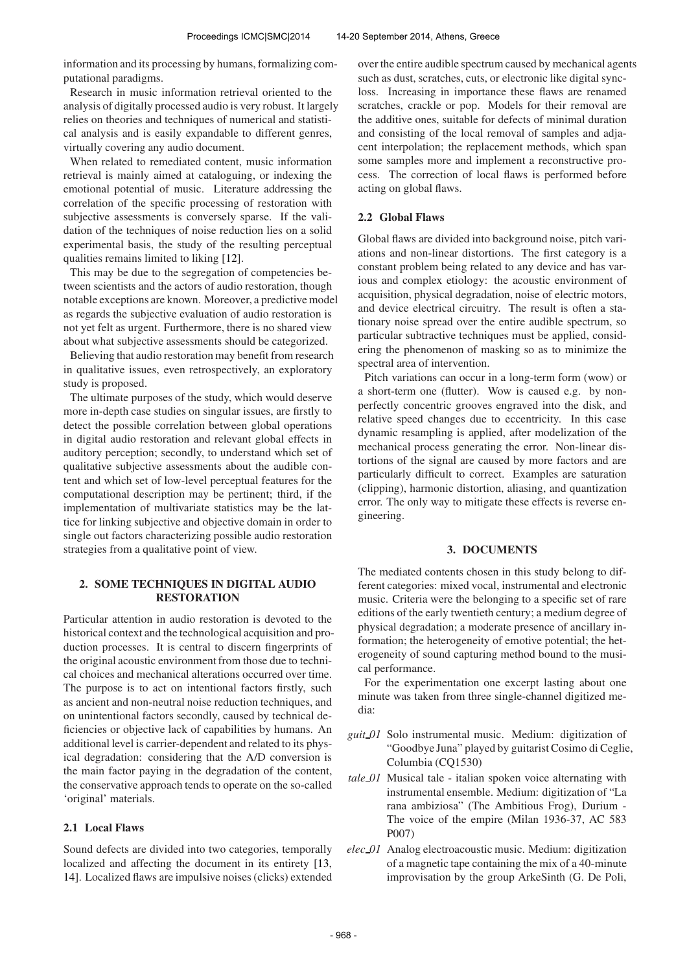information and its processing by humans, formalizing computational paradigms.

Research in music information retrieval oriented to the analysis of digitally processed audio is very robust. It largely relies on theories and techniques of numerical and statistical analysis and is easily expandable to different genres, virtually covering any audio document.

When related to remediated content, music information retrieval is mainly aimed at cataloguing, or indexing the emotional potential of music. Literature addressing the correlation of the specific processing of restoration with subjective assessments is conversely sparse. If the validation of the techniques of noise reduction lies on a solid experimental basis, the study of the resulting perceptual qualities remains limited to liking [12].

This may be due to the segregation of competencies between scientists and the actors of audio restoration, though notable exceptions are known. Moreover, a predictive model as regards the subjective evaluation of audio restoration is not yet felt as urgent. Furthermore, there is no shared view about what subjective assessments should be categorized.

Believing that audio restoration may benefit from research in qualitative issues, even retrospectively, an exploratory study is proposed.

The ultimate purposes of the study, which would deserve more in-depth case studies on singular issues, are firstly to detect the possible correlation between global operations in digital audio restoration and relevant global effects in auditory perception; secondly, to understand which set of qualitative subjective assessments about the audible content and which set of low-level perceptual features for the computational description may be pertinent; third, if the implementation of multivariate statistics may be the lattice for linking subjective and objective domain in order to single out factors characterizing possible audio restoration strategies from a qualitative point of view.

# 2. SOME TECHNIQUES IN DIGITAL AUDIO RESTORATION

Particular attention in audio restoration is devoted to the historical context and the technological acquisition and production processes. It is central to discern fingerprints of the original acoustic environment from those due to technical choices and mechanical alterations occurred over time. The purpose is to act on intentional factors firstly, such as ancient and non-neutral noise reduction techniques, and on unintentional factors secondly, caused by technical deficiencies or objective lack of capabilities by humans. An additional level is carrier-dependent and related to its physical degradation: considering that the A/D conversion is the main factor paying in the degradation of the content, the conservative approach tends to operate on the so-called 'original' materials.

### 2.1 Local Flaws

Sound defects are divided into two categories, temporally localized and affecting the document in its entirety [13, 14]. Localized flaws are impulsive noises (clicks) extended

over the entire audible spectrum caused by mechanical agents such as dust, scratches, cuts, or electronic like digital syncloss. Increasing in importance these flaws are renamed scratches, crackle or pop. Models for their removal are the additive ones, suitable for defects of minimal duration and consisting of the local removal of samples and adjacent interpolation; the replacement methods, which span some samples more and implement a reconstructive process. The correction of local flaws is performed before acting on global flaws.

# 2.2 Global Flaws

Global flaws are divided into background noise, pitch variations and non-linear distortions. The first category is a constant problem being related to any device and has various and complex etiology: the acoustic environment of acquisition, physical degradation, noise of electric motors, and device electrical circuitry. The result is often a stationary noise spread over the entire audible spectrum, so particular subtractive techniques must be applied, considering the phenomenon of masking so as to minimize the spectral area of intervention.

Pitch variations can occur in a long-term form (wow) or a short-term one (flutter). Wow is caused e.g. by nonperfectly concentric grooves engraved into the disk, and relative speed changes due to eccentricity. In this case dynamic resampling is applied, after modelization of the mechanical process generating the error. Non-linear distortions of the signal are caused by more factors and are particularly difficult to correct. Examples are saturation (clipping), harmonic distortion, aliasing, and quantization error. The only way to mitigate these effects is reverse engineering.

### 3. DOCUMENTS

The mediated contents chosen in this study belong to different categories: mixed vocal, instrumental and electronic music. Criteria were the belonging to a specific set of rare editions of the early twentieth century; a medium degree of physical degradation; a moderate presence of ancillary information; the heterogeneity of emotive potential; the heterogeneity of sound capturing method bound to the musical performance.

For the experimentation one excerpt lasting about one minute was taken from three single-channel digitized media:

- *guit 01* Solo instrumental music. Medium: digitization of "Goodbye Juna" played by guitarist Cosimo di Ceglie, Columbia (CQ1530)
- *tale 01* Musical tale italian spoken voice alternating with instrumental ensemble. Medium: digitization of "La rana ambiziosa" (The Ambitious Frog), Durium - The voice of the empire (Milan 1936-37, AC 583 P007)
- *elec 01* Analog electroacoustic music. Medium: digitization of a magnetic tape containing the mix of a 40-minute improvisation by the group ArkeSinth (G. De Poli,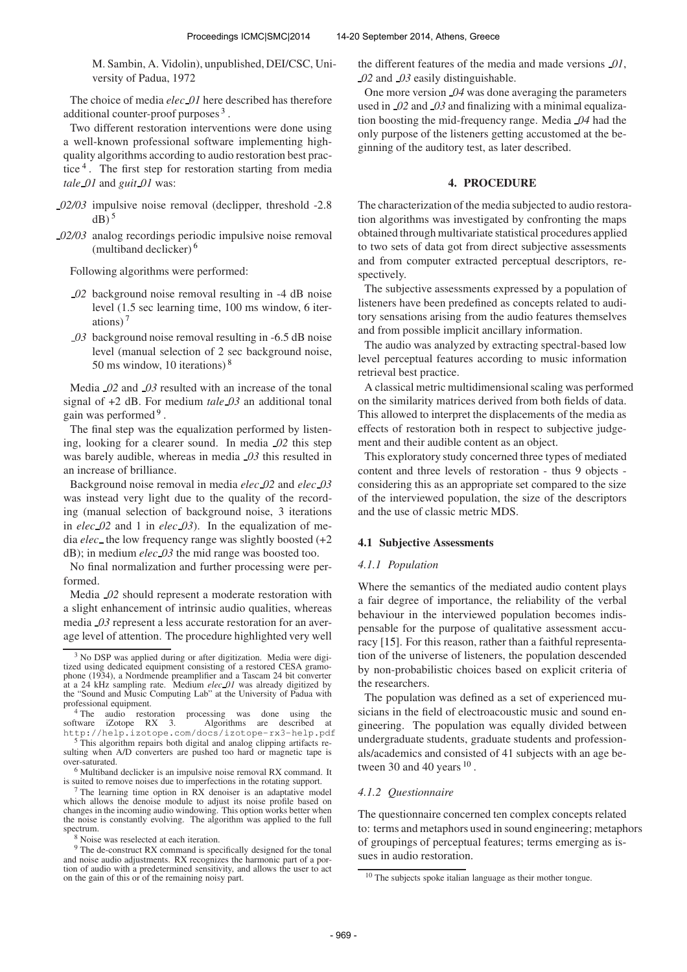M. Sambin, A. Vidolin), unpublished, DEI/CSC, University of Padua, 1972

The choice of media *elec 01* here described has therefore additional counter-proof purposes<sup>3</sup>.

Two different restoration interventions were done using a well-known professional software implementing highquality algorithms according to audio restoration best practice<sup>4</sup>. The first step for restoration starting from media *tale 01* and *guit 01* was:

- *02/03* impulsive noise removal (declipper, threshold -2.8  $dB)$ <sup>5</sup>
- *02/03* analog recordings periodic impulsive noise removal (multiband declicker) <sup>6</sup>

Following algorithms were performed:

- *02* background noise removal resulting in -4 dB noise level (1.5 sec learning time, 100 ms window, 6 iterations) <sup>7</sup>
- *03* background noise removal resulting in -6.5 dB noise level (manual selection of 2 sec background noise, 50 ms window, 10 iterations) <sup>8</sup>

Media *02* and *03* resulted with an increase of the tonal signal of +2 dB. For medium *tale 03* an additional tonal gain was performed<sup>9</sup>.

The final step was the equalization performed by listening, looking for a clearer sound. In media *02* this step was barely audible, whereas in media *03* this resulted in an increase of brilliance.

Background noise removal in media *elec 02* and *elec 03* was instead very light due to the quality of the recording (manual selection of background noise, 3 iterations in *elec 02* and 1 in *elec 03*). In the equalization of media *elec* the low frequency range was slightly boosted (+2 dB); in medium *elec 03* the mid range was boosted too.

No final normalization and further processing were performed.

Media *02* should represent a moderate restoration with a slight enhancement of intrinsic audio qualities, whereas media *03* represent a less accurate restoration for an average level of attention. The procedure highlighted very well

<sup>7</sup> The learning time option in RX denoiser is an adaptative model which allows the denoise module to adjust its noise profile based on changes in the incoming audio windowing. This option works better when the noise is constantly evolving. The algorithm was applied to the full spectrum.

the different features of the media and made versions *01*, *02* and *03* easily distinguishable.

One more version *04* was done averaging the parameters used in *02* and *03* and finalizing with a minimal equalization boosting the mid-frequency range. Media *04* had the only purpose of the listeners getting accustomed at the beginning of the auditory test, as later described.

# 4. PROCEDURE

The characterization of the media subjected to audio restoration algorithms was investigated by confronting the maps obtained through multivariate statistical procedures applied to two sets of data got from direct subjective assessments and from computer extracted perceptual descriptors, respectively.

The subjective assessments expressed by a population of listeners have been predefined as concepts related to auditory sensations arising from the audio features themselves and from possible implicit ancillary information.

The audio was analyzed by extracting spectral-based low level perceptual features according to music information retrieval best practice.

A classical metric multidimensional scaling was performed on the similarity matrices derived from both fields of data. This allowed to interpret the displacements of the media as effects of restoration both in respect to subjective judgement and their audible content as an object.

This exploratory study concerned three types of mediated content and three levels of restoration - thus 9 objects considering this as an appropriate set compared to the size of the interviewed population, the size of the descriptors and the use of classic metric MDS.

# 4.1 Subjective Assessments

#### *4.1.1 Population*

Where the semantics of the mediated audio content plays a fair degree of importance, the reliability of the verbal behaviour in the interviewed population becomes indispensable for the purpose of qualitative assessment accuracy [15]. For this reason, rather than a faithful representation of the universe of listeners, the population descended by non-probabilistic choices based on explicit criteria of the researchers.

The population was defined as a set of experienced musicians in the field of electroacoustic music and sound engineering. The population was equally divided between undergraduate students, graduate students and professionals/academics and consisted of 41 subjects with an age between 30 and 40 years  $10$ .

#### *4.1.2 Questionnaire*

The questionnaire concerned ten complex concepts related to: terms and metaphors used in sound engineering; metaphors of groupings of perceptual features; terms emerging as issues in audio restoration.

<sup>&</sup>lt;sup>3</sup> No DSP was applied during or after digitization. Media were digitized using dedicated equipment consisting of a restored CESA gramophone (1934), a Nordmende preamplifier and a Tascam 24 bit converter<br>at a 24 kHz sampling rate. Medium *elec* 01 was already digitized by<br>the "Sound and Music Computing Lab" at the University of Padua with professional equipment.

<sup>&</sup>lt;sup>4</sup> The audio restoration processing was done using the software iZotope RX 3. Algorithms are described at software iZotope RX 3. Algorithms are described at <http://help.izotope.com/docs/izotope-rx3-help.pdf>

This algorithm repairs both digital and analog clipping artifacts resulting when A/D converters are pushed too hard or magnetic tape is over-saturated.

<sup>6</sup> Multiband declicker is an impulsive noise removal RX command. It is suited to remove noises due to imperfections in the rotating support.

<sup>8</sup> Noise was reselected at each iteration.

<sup>&</sup>lt;sup>9</sup> The de-construct RX command is specifically designed for the tonal and noise audio adjustments. RX recognizes the harmonic part of a portion of audio with a predetermined sensitivity, and allows the user to act on the gain of this or of the remaining noisy part.

 $10$  The subjects spoke italian language as their mother tongue.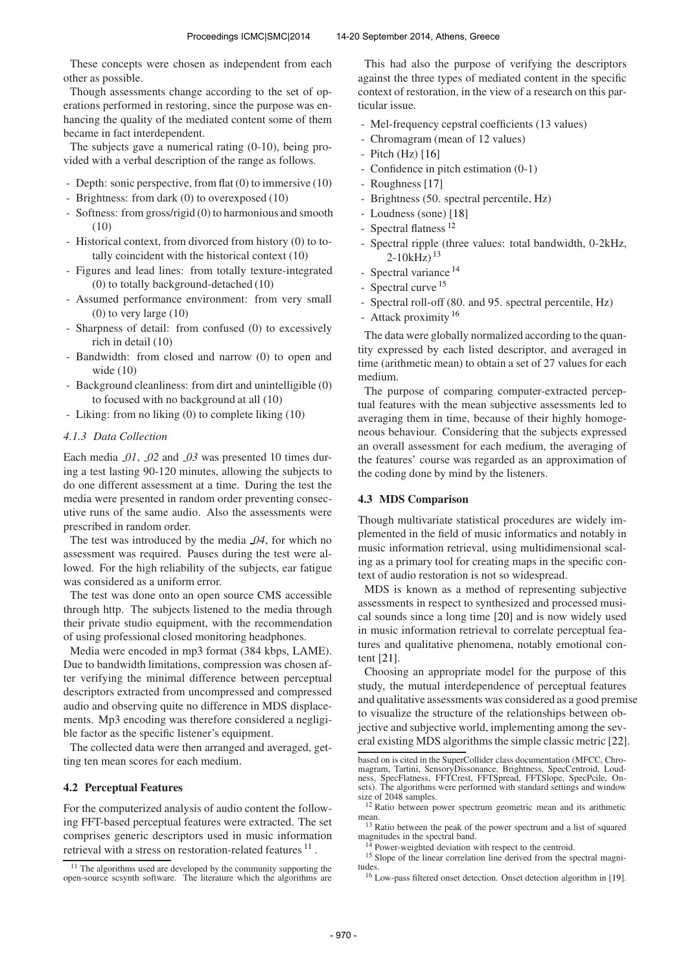These concepts were chosen as independent from each other as possible.

Though assessments change according to the set of operations performed in restoring, since the purpose was enhancing the quality of the mediated content some of them became in fact interdependent.

The subjects gave a numerical rating (0-10), being provided with a verbal description of the range as follows.

- Depth: sonic perspective, from flat (0) to immersive (10)
- Brightness: from dark (0) to overexposed (10)
- Softness: from gross/rigid (0) to harmonious and smooth  $(10)$
- Historical context, from divorced from history (0) to totally coincident with the historical context (10)
- Figures and lead lines: from totally texture-integrated (0) to totally background-detached (10)
- Assumed performance environment: from very small  $(0)$  to very large  $(10)$
- Sharpness of detail: from confused (0) to excessively rich in detail (10)
- Bandwidth: from closed and narrow (0) to open and wide (10)
- Background cleanliness: from dirt and unintelligible (0) to focused with no background at all (10)
- Liking: from no liking (0) to complete liking (10)

### *4.1.3 Data Collection*

Each media *01*, *02* and *03* was presented 10 times during a test lasting 90-120 minutes, allowing the subjects to do one different assessment at a time. During the test the media were presented in random order preventing consecutive runs of the same audio. Also the assessments were prescribed in random order.

The test was introduced by the media *04*, for which no assessment was required. Pauses during the test were allowed. For the high reliability of the subjects, ear fatigue was considered as a uniform error.

The test was done onto an open source CMS accessible through http. The subjects listened to the media through their private studio equipment, with the recommendation of using professional closed monitoring headphones.

Media were encoded in mp3 format (384 kbps, LAME). Due to bandwidth limitations, compression was chosen after verifying the minimal difference between perceptual descriptors extracted from uncompressed and compressed audio and observing quite no difference in MDS displacements. Mp3 encoding was therefore considered a negligible factor as the specific listener's equipment.

The collected data were then arranged and averaged, getting ten mean scores for each medium.

### 4.2 Perceptual Features

For the computerized analysis of audio content the following FFT-based perceptual features were extracted. The set comprises generic descriptors used in music information retrieval with a stress on restoration-related features  $^{11}$ .

This had also the purpose of verifying the descriptors against the three types of mediated content in the specific context of restoration, in the view of a research on this particular issue.

- Mel-frequency cepstral coefficients (13 values)
- Chromagram (mean of 12 values)
- Pitch  $(Hz)$  [16]
- Confidence in pitch estimation  $(0-1)$
- Roughness [17]
- Brightness (50. spectral percentile, Hz)
- Loudness (sone) [18]
- Spectral flatness<sup>12</sup>
- Spectral ripple (three values: total bandwidth, 0-2kHz,  $2-10kHz$ )<sup>13</sup>
- Spectral variance <sup>14</sup>
- Spectral curve <sup>15</sup>
- Spectral roll-off (80. and 95. spectral percentile, Hz)
- Attack proximity <sup>16</sup>

The data were globally normalized according to the quantity expressed by each listed descriptor, and averaged in time (arithmetic mean) to obtain a set of 27 values for each medium.

The purpose of comparing computer-extracted perceptual features with the mean subjective assessments led to averaging them in time, because of their highly homogeneous behaviour. Considering that the subjects expressed an overall assessment for each medium, the averaging of the features' course was regarded as an approximation of the coding done by mind by the listeners.

# 4.3 MDS Comparison

Though multivariate statistical procedures are widely implemented in the field of music informatics and notably in music information retrieval, using multidimensional scaling as a primary tool for creating maps in the specific context of audio restoration is not so widespread.

MDS is known as a method of representing subjective assessments in respect to synthesized and processed musical sounds since a long time [20] and is now widely used in music information retrieval to correlate perceptual features and qualitative phenomena, notably emotional content [21].

Choosing an appropriate model for the purpose of this study, the mutual interdependence of perceptual features and qualitative assessments was considered as a good premise to visualize the structure of the relationships between objective and subjective world, implementing among the several existing MDS algorithms the simple classic metric [22].

 $11$  The algorithms used are developed by the community supporting the open-source scsynth software. The literature which the algorithms are

based on is cited in the SuperCollider class documentation (MFCC, Chromagram, Tartini, SensoryDissonance, Brightness, SpecCentroid, Loud-ness, SpecFlatness, FFTCrest, FFTSpread, FFTSlope, SpecPcile, On-sets). The algorithms were performed with standard settings and window size of 2048 samples.

<sup>&</sup>lt;sup>12</sup> Ratio between power spectrum geometric mean and its arithmetic mean.

<sup>&</sup>lt;sup>13</sup> Ratio between the peak of the power spectrum and a list of squared magnitudes in the spectral band.

Power-weighted deviation with respect to the centroid.

<sup>&</sup>lt;sup>15</sup> Slope of the linear correlation line derived from the spectral magnitudes.

<sup>16</sup> Low-pass filtered onset detection. Onset detection algorithm in [19].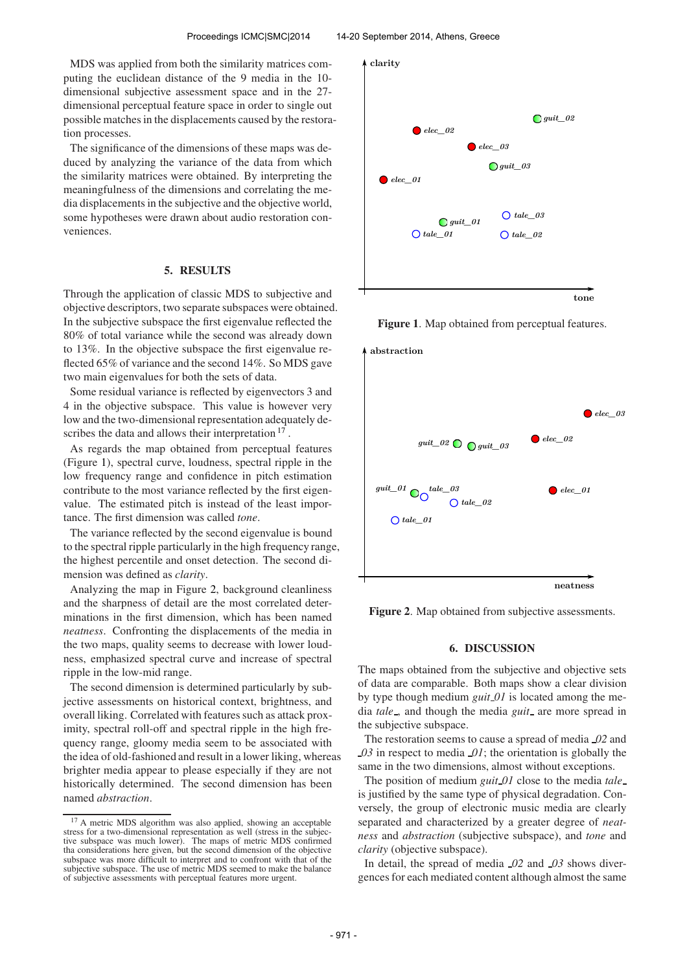MDS was applied from both the similarity matrices computing the euclidean distance of the 9 media in the 10 dimensional subjective assessment space and in the 27 dimensional perceptual feature space in order to single out possible matches in the displacements caused by the restoration processes.

The significance of the dimensions of these maps was deduced by analyzing the variance of the data from which the similarity matrices were obtained. By interpreting the meaningfulness of the dimensions and correlating the media displacements in the subjective and the objective world, some hypotheses were drawn about audio restoration conveniences.

### 5. RESULTS

Through the application of classic MDS to subjective and objective descriptors, two separate subspaces were obtained. In the subjective subspace the first eigenvalue reflected the 80% of total variance while the second was already down to 13%. In the objective subspace the first eigenvalue reflected 65% of variance and the second 14%. So MDS gave two main eigenvalues for both the sets of data.

Some residual variance is reflected by eigenvectors 3 and 4 in the objective subspace. This value is however very low and the two-dimensional representation adequately describes the data and allows their interpretation <sup>17</sup>.

As regards the map obtained from perceptual features (Figure 1), spectral curve, loudness, spectral ripple in the low frequency range and confidence in pitch estimation contribute to the most variance reflected by the first eigenvalue. The estimated pitch is instead of the least importance. The first dimension was called *tone*.

The variance reflected by the second eigenvalue is bound to the spectral ripple particularly in the high frequency range, the highest percentile and onset detection. The second dimension was defined as *clarity*.

Analyzing the map in Figure 2, background cleanliness and the sharpness of detail are the most correlated determinations in the first dimension, which has been named *neatness*. Confronting the displacements of the media in the two maps, quality seems to decrease with lower loudness, emphasized spectral curve and increase of spectral ripple in the low-mid range.

The second dimension is determined particularly by subjective assessments on historical context, brightness, and overall liking. Correlated with features such as attack proximity, spectral roll-off and spectral ripple in the high frequency range, gloomy media seem to be associated with the idea of old-fashioned and result in a lower liking, whereas brighter media appear to please especially if they are not historically determined. The second dimension has been named *abstraction*.



Figure 1. Map obtained from perceptual features.



Figure 2. Map obtained from subjective assessments.

# 6. DISCUSSION

The maps obtained from the subjective and objective sets of data are comparable. Both maps show a clear division by type though medium *guit 01* is located among the media *tale*, and though the media *guit* are more spread in the subjective subspace.

The restoration seems to cause a spread of media *02* and *03* in respect to media *01*; the orientation is globally the same in the two dimensions, almost without exceptions.

The position of medium *guit 01* close to the media *tale* is justified by the same type of physical degradation. Conversely, the group of electronic music media are clearly separated and characterized by a greater degree of *neatness* and *abstraction* (subjective subspace), and *tone* and *clarity* (objective subspace).

In detail, the spread of media *02* and *03* shows divergences for each mediated content although almost the same

<sup>17</sup> A metric MDS algorithm was also applied, showing an acceptable stress for a two-dimensional representation as well (stress in the subjec-tive subspace was much lower). The maps of metric MDS confirmed tha considerations here given, but the second dimension of the objective subspace was more difficult to interpret and to confront with that of the subjective subspace. The use of metric MDS seemed to make the balance of subjective assessments with perceptual features more urgent.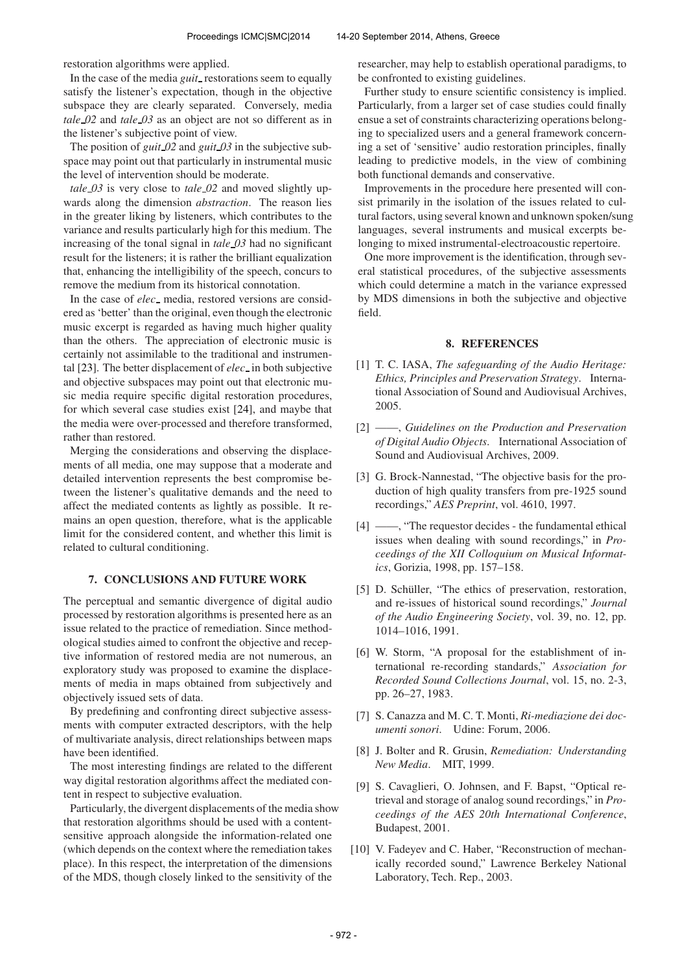restoration algorithms were applied.

In the case of the media *guit* restorations seem to equally satisfy the listener's expectation, though in the objective subspace they are clearly separated. Conversely, media *tale 02* and *tale 03* as an object are not so different as in the listener's subjective point of view.

The position of *guit 02* and *guit 03* in the subjective subspace may point out that particularly in instrumental music the level of intervention should be moderate.

*tale 03* is very close to *tale 02* and moved slightly upwards along the dimension *abstraction*. The reason lies in the greater liking by listeners, which contributes to the variance and results particularly high for this medium. The increasing of the tonal signal in *tale 03* had no significant result for the listeners; it is rather the brilliant equalization that, enhancing the intelligibility of the speech, concurs to remove the medium from its historical connotation.

In the case of *elec*<sub>-</sub> media, restored versions are considered as 'better' than the original, even though the electronic music excerpt is regarded as having much higher quality than the others. The appreciation of electronic music is certainly not assimilable to the traditional and instrumental [23]. The better displacement of *elec* in both subjective and objective subspaces may point out that electronic music media require specific digital restoration procedures, for which several case studies exist [24], and maybe that the media were over-processed and therefore transformed, rather than restored.

Merging the considerations and observing the displacements of all media, one may suppose that a moderate and detailed intervention represents the best compromise between the listener's qualitative demands and the need to affect the mediated contents as lightly as possible. It remains an open question, therefore, what is the applicable limit for the considered content, and whether this limit is related to cultural conditioning.

# 7. CONCLUSIONS AND FUTURE WORK

The perceptual and semantic divergence of digital audio processed by restoration algorithms is presented here as an issue related to the practice of remediation. Since methodological studies aimed to confront the objective and receptive information of restored media are not numerous, an exploratory study was proposed to examine the displacements of media in maps obtained from subjectively and objectively issued sets of data.

By predefining and confronting direct subjective assessments with computer extracted descriptors, with the help of multivariate analysis, direct relationships between maps have been identified.

The most interesting findings are related to the different way digital restoration algorithms affect the mediated content in respect to subjective evaluation.

Particularly, the divergent displacements of the media show that restoration algorithms should be used with a contentsensitive approach alongside the information-related one (which depends on the context where the remediation takes place). In this respect, the interpretation of the dimensions of the MDS, though closely linked to the sensitivity of the

researcher, may help to establish operational paradigms, to be confronted to existing guidelines.

Further study to ensure scientific consistency is implied. Particularly, from a larger set of case studies could finally ensue a set of constraints characterizing operations belonging to specialized users and a general framework concerning a set of 'sensitive' audio restoration principles, finally leading to predictive models, in the view of combining both functional demands and conservative.

Improvements in the procedure here presented will consist primarily in the isolation of the issues related to cultural factors, using several known and unknown spoken/sung languages, several instruments and musical excerpts belonging to mixed instrumental-electroacoustic repertoire.

One more improvement is the identification, through several statistical procedures, of the subjective assessments which could determine a match in the variance expressed by MDS dimensions in both the subjective and objective field.

### 8. REFERENCES

- [1] T. C. IASA, *The safeguarding of the Audio Heritage: Ethics, Principles and Preservation Strategy*. International Association of Sound and Audiovisual Archives, 2005.
- [2] ——, *Guidelines on the Production and Preservation of Digital Audio Objects*. International Association of Sound and Audiovisual Archives, 2009.
- [3] G. Brock-Nannestad, "The objective basis for the production of high quality transfers from pre-1925 sound recordings," *AES Preprint*, vol. 4610, 1997.
- [4] ——, "The requestor decides the fundamental ethical issues when dealing with sound recordings," in *Proceedings of the XII Colloquium on Musical Informatics*, Gorizia, 1998, pp. 157–158.
- [5] D. Schüller, "The ethics of preservation, restoration, and re-issues of historical sound recordings," *Journal of the Audio Engineering Society*, vol. 39, no. 12, pp. 1014–1016, 1991.
- [6] W. Storm, "A proposal for the establishment of international re-recording standards," *Association for Recorded Sound Collections Journal*, vol. 15, no. 2-3, pp. 26–27, 1983.
- [7] S. Canazza and M. C. T. Monti, *Ri-mediazione dei documenti sonori*. Udine: Forum, 2006.
- [8] J. Bolter and R. Grusin, *Remediation: Understanding New Media*. MIT, 1999.
- [9] S. Cavaglieri, O. Johnsen, and F. Bapst, "Optical retrieval and storage of analog sound recordings," in *Proceedings of the AES 20th International Conference*, Budapest, 2001.
- [10] V. Fadeyev and C. Haber, "Reconstruction of mechanically recorded sound," Lawrence Berkeley National Laboratory, Tech. Rep., 2003.